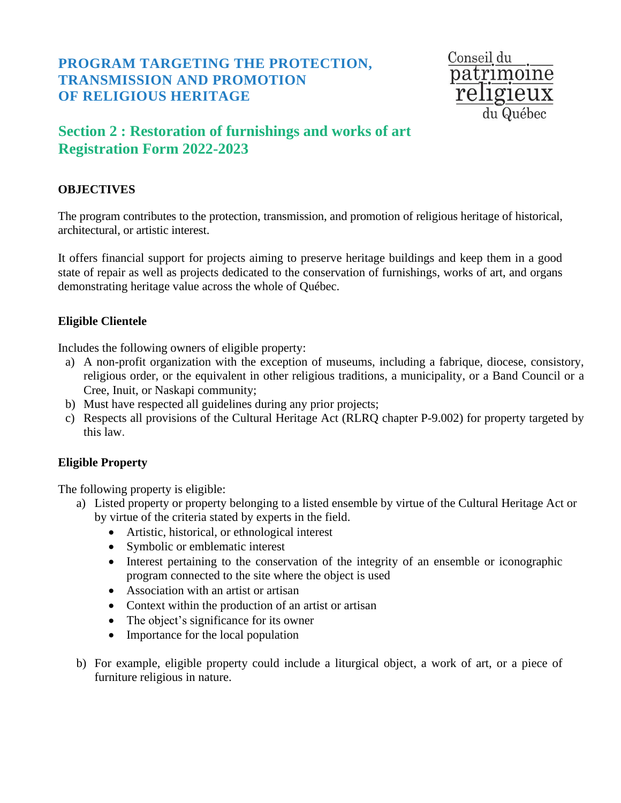## **PROGRAM TARGETING THE PROTECTION, TRANSMISSION AND PROMOTION OF RELIGIOUS HERITAGE**

Conseil du patrimoine religieux du Québec

# **Section 2 : Restoration of furnishings and works of art Registration Form 2022-2023**

### **OBJECTIVES**

The program contributes to the protection, transmission, and promotion of religious heritage of historical, architectural, or artistic interest.

It offers financial support for projects aiming to preserve heritage buildings and keep them in a good state of repair as well as projects dedicated to the conservation of furnishings, works of art, and organs demonstrating heritage value across the whole of Québec.

#### **Eligible Clientele**

Includes the following owners of eligible property:

- a) A non-profit organization with the exception of museums, including a fabrique, diocese, consistory, religious order, or the equivalent in other religious traditions, a municipality, or a Band Council or a Cree, Inuit, or Naskapi community;
- b) Must have respected all guidelines during any prior projects;
- c) Respects all provisions of the Cultural Heritage Act (RLRQ chapter P-9.002) for property targeted by this law.

#### **Eligible Property**

The following property is eligible:

- a) Listed property or property belonging to a listed ensemble by virtue of the Cultural Heritage Act or by virtue of the criteria stated by experts in the field.
	- Artistic, historical, or ethnological interest
	- Symbolic or emblematic interest
	- Interest pertaining to the conservation of the integrity of an ensemble or iconographic program connected to the site where the object is used
	- Association with an artist or artisan
	- Context within the production of an artist or artisan
	- The object's significance for its owner
	- Importance for the local population
- b) For example, eligible property could include a liturgical object, a work of art, or a piece of furniture religious in nature.